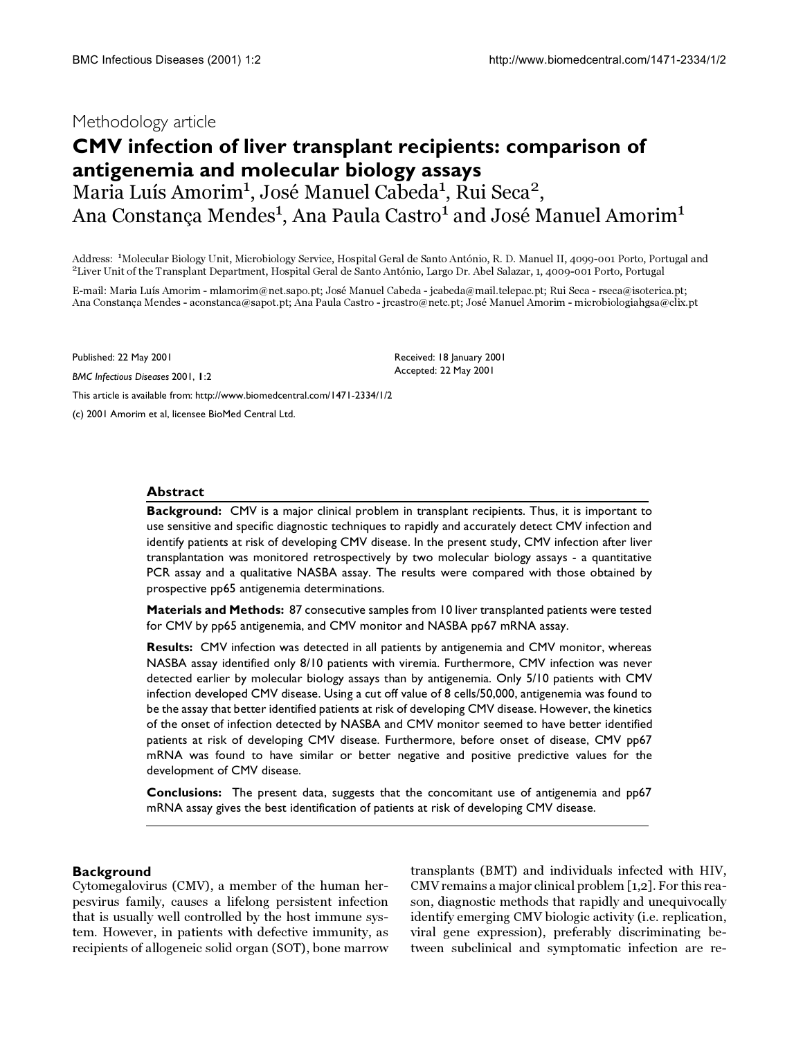## Methodology article

# **CMV infection of liver transplant recipients: comparison of antigenemia and molecular biology assays** Maria Luís Amorim<sup>1</sup>, José Manuel Cabeda<sup>1</sup>, Rui Seca<sup>2</sup>,

Ana Constanca Mendes $^{\rm 1}$ . Ana Paula Castro $^{\rm 1}$  and José Manuel Amorim $^{\rm 1}$ 

Address: <sup>1</sup>Molecular Biology Unit, Microbiology Service, Hospital Geral de Santo António, R. D. Manuel II, 4099-001 Porto, Portugal and <sup>2</sup> Liver Unit of the Transplant Department, Hospital Geral de Santo António, Largo Dr. Abel Salazar, 1, 4009-001 Porto, Portugal

E-mail: Maria Luís Amorim - mlamorim@net.sapo.pt; José Manuel Cabeda - jcabeda@mail.telepac.pt; Rui Seca - rseca@isoterica.pt; Ana Constança Mendes - aconstanca@sapot.pt; Ana Paula Castro - jrcastro@netc.pt; José Manuel Amorim - microbiologiahgsa@clix.pt

Published: 22 May 2001

*BMC Infectious Diseases* 2001, **1**:2

Received: 18 January 2001 Accepted: 22 May 2001

[This article is available from: http://www.biomedcentral.com/1471-2334/1/2](http://www.biomedcentral.com/1471-2334/1/2)

(c) 2001 Amorim et al, licensee BioMed Central Ltd.

## **Abstract**

**Background:** CMV is a major clinical problem in transplant recipients. Thus, it is important to use sensitive and specific diagnostic techniques to rapidly and accurately detect CMV infection and identify patients at risk of developing CMV disease. In the present study, CMV infection after liver transplantation was monitored retrospectively by two molecular biology assays - a quantitative PCR assay and a qualitative NASBA assay. The results were compared with those obtained by prospective pp65 antigenemia determinations.

**Materials and Methods:** 87 consecutive samples from 10 liver transplanted patients were tested for CMV by pp65 antigenemia, and CMV monitor and NASBA pp67 mRNA assay.

**Results:** CMV infection was detected in all patients by antigenemia and CMV monitor, whereas NASBA assay identified only 8/10 patients with viremia. Furthermore, CMV infection was never detected earlier by molecular biology assays than by antigenemia. Only 5/10 patients with CMV infection developed CMV disease. Using a cut off value of 8 cells/50,000, antigenemia was found to be the assay that better identified patients at risk of developing CMV disease. However, the kinetics of the onset of infection detected by NASBA and CMV monitor seemed to have better identified patients at risk of developing CMV disease. Furthermore, before onset of disease, CMV pp67 mRNA was found to have similar or better negative and positive predictive values for the development of CMV disease.

**Conclusions:** The present data, suggests that the concomitant use of antigenemia and pp67 mRNA assay gives the best identification of patients at risk of developing CMV disease.

## **Background**

Cytomegalovirus (CMV), a member of the human herpesvirus family, causes a lifelong persistent infection that is usually well controlled by the host immune system. However, in patients with defective immunity, as recipients of allogeneic solid organ (SOT), bone marrow transplants (BMT) and individuals infected with HIV, CMV remains a major clinical problem [[1](#page-8-0),[2](#page-8-1)]. For this reason, diagnostic methods that rapidly and unequivocally identify emerging CMV biologic activity (i.e. replication, viral gene expression), preferably discriminating between subclinical and symptomatic infection are re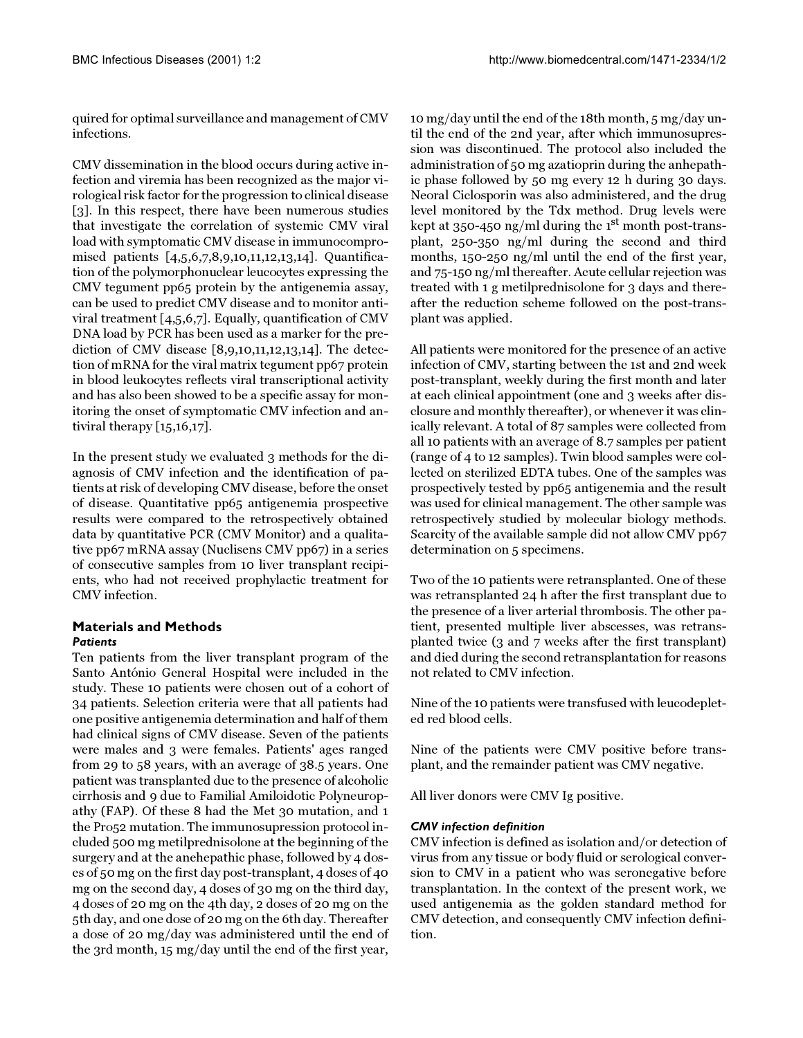quired for optimal surveillance and management of CMV infections.

CMV dissemination in the blood occurs during active infection and viremia has been recognized as the major virological risk factor for the progression to clinical disease [[3](#page-8-2)]. In this respect, there have been numerous studies that investigate the correlation of systemic CMV viral load with symptomatic CMV disease in immunocompromised patients [[4](#page-8-3),[5](#page-8-4),[6](#page-8-5)[,7](#page-8-6)[,8](#page-8-7),[9](#page-8-8)[,10](#page-8-9),[11](#page-8-10),[12](#page-8-11)[,13,](#page-8-12)[14\]](#page-8-13). Quantification of the polymorphonuclear leucocytes expressing the CMV tegument pp65 protein by the antigenemia assay, can be used to predict CMV disease and to monitor antiviral treatment [[4](#page-8-3),[5](#page-8-4)[,6](#page-8-5),[7\]](#page-8-6). Equally, quantification of CMV DNA load by PCR has been used as a marker for the prediction of CMV disease [\[8,](#page-8-7)[9](#page-8-8),[10](#page-8-9)[,11](#page-8-10)[,12](#page-8-11),[13](#page-8-12),[14\]](#page-8-13). The detection of mRNA for the viral matrix tegument pp67 protein in blood leukocytes reflects viral transcriptional activity and has also been showed to be a specific assay for monitoring the onset of symptomatic CMV infection and antiviral therapy [\[15](#page-8-14)[,16](#page-8-15)[,17](#page-8-16)].

In the present study we evaluated 3 methods for the diagnosis of CMV infection and the identification of patients at risk of developing CMV disease, before the onset of disease. Quantitative pp65 antigenemia prospective results were compared to the retrospectively obtained data by quantitative PCR (CMV Monitor) and a qualitative pp67 mRNA assay (Nuclisens CMV pp67) in a series of consecutive samples from 10 liver transplant recipients, who had not received prophylactic treatment for CMV infection.

## **Materials and Methods** *Patients*

Ten patients from the liver transplant program of the Santo António General Hospital were included in the study. These 10 patients were chosen out of a cohort of 34 patients. Selection criteria were that all patients had one positive antigenemia determination and half of them had clinical signs of CMV disease. Seven of the patients were males and 3 were females. Patients' ages ranged from 29 to 58 years, with an average of 38.5 years. One patient was transplanted due to the presence of alcoholic cirrhosis and 9 due to Familial Amiloidotic Polyneuropathy (FAP). Of these 8 had the Met 30 mutation, and 1 the Pro52 mutation. The immunosupression protocol included 500 mg metilprednisolone at the beginning of the surgery and at the anehepathic phase, followed by 4 doses of 50 mg on the first day post-transplant, 4 doses of 40 mg on the second day, 4 doses of 30 mg on the third day, 4 doses of 20 mg on the 4th day, 2 doses of 20 mg on the 5th day, and one dose of 20 mg on the 6th day. Thereafter a dose of 20 mg/day was administered until the end of the 3rd month, 15 mg/day until the end of the first year,

10 mg/day until the end of the 18th month, 5 mg/day until the end of the 2nd year, after which immunosupression was discontinued. The protocol also included the administration of 50 mg azatioprin during the anhepathic phase followed by 50 mg every 12 h during 30 days. Neoral Ciclosporin was also administered, and the drug level monitored by the Tdx method. Drug levels were kept at 350-450 ng/ml during the  $1<sup>st</sup>$  month post-transplant, 250-350 ng/ml during the second and third months, 150-250 ng/ml until the end of the first year, and 75-150 ng/ml thereafter. Acute cellular rejection was treated with 1 g metilprednisolone for 3 days and thereafter the reduction scheme followed on the post-transplant was applied.

All patients were monitored for the presence of an active infection of CMV, starting between the 1st and 2nd week post-transplant, weekly during the first month and later at each clinical appointment (one and 3 weeks after disclosure and monthly thereafter), or whenever it was clinically relevant. A total of 87 samples were collected from all 10 patients with an average of 8.7 samples per patient (range of 4 to 12 samples). Twin blood samples were collected on sterilized EDTA tubes. One of the samples was prospectively tested by pp65 antigenemia and the result was used for clinical management. The other sample was retrospectively studied by molecular biology methods. Scarcity of the available sample did not allow CMV pp67 determination on 5 specimens.

Two of the 10 patients were retransplanted. One of these was retransplanted 24 h after the first transplant due to the presence of a liver arterial thrombosis. The other patient, presented multiple liver abscesses, was retransplanted twice (3 and 7 weeks after the first transplant) and died during the second retransplantation for reasons not related to CMV infection.

Nine of the 10 patients were transfused with leucodepleted red blood cells.

Nine of the patients were CMV positive before transplant, and the remainder patient was CMV negative.

All liver donors were CMV Ig positive.

## *CMV infection definition*

CMV infection is defined as isolation and/or detection of virus from any tissue or body fluid or serological conversion to CMV in a patient who was seronegative before transplantation. In the context of the present work, we used antigenemia as the golden standard method for CMV detection, and consequently CMV infection definition.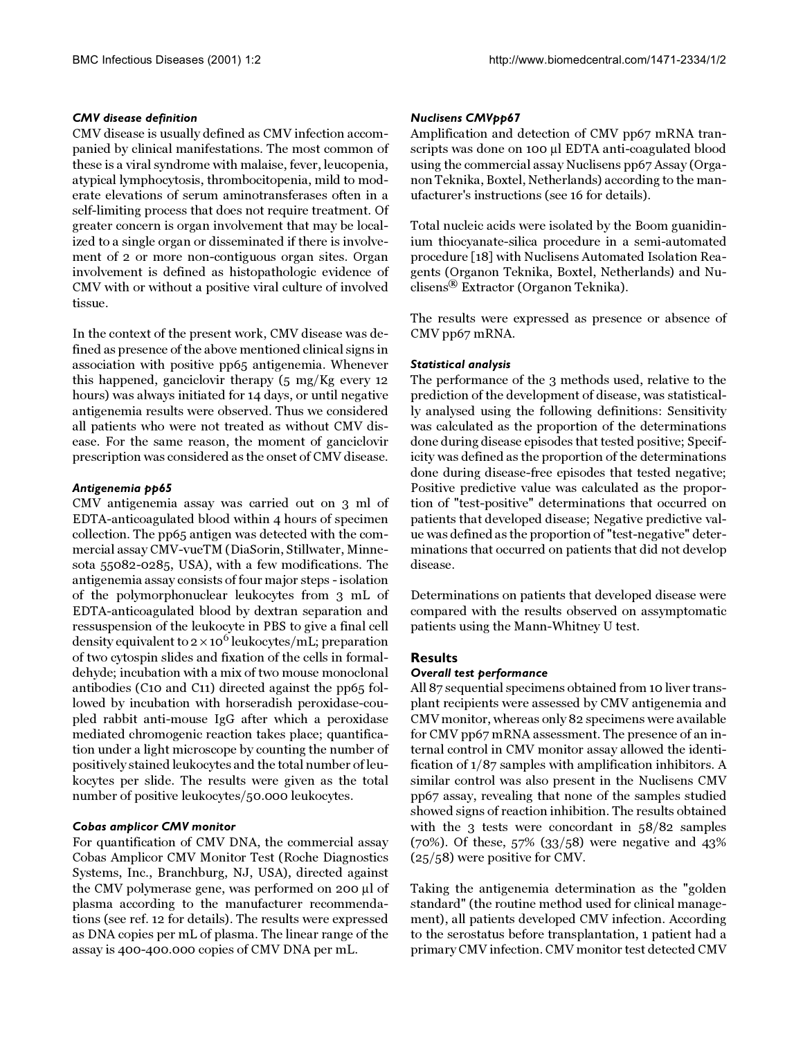## *CMV disease definition*

CMV disease is usually defined as CMV infection accompanied by clinical manifestations. The most common of these is a viral syndrome with malaise, fever, leucopenia, atypical lymphocytosis, thrombocitopenia, mild to moderate elevations of serum aminotransferases often in a self-limiting process that does not require treatment. Of greater concern is organ involvement that may be localized to a single organ or disseminated if there is involvement of 2 or more non-contiguous organ sites. Organ involvement is defined as histopathologic evidence of CMV with or without a positive viral culture of involved tissue.

In the context of the present work, CMV disease was defined as presence of the above mentioned clinical signs in association with positive pp65 antigenemia. Whenever this happened, ganciclovir therapy (5 mg/Kg every 12 hours) was always initiated for 14 days, or until negative antigenemia results were observed. Thus we considered all patients who were not treated as without CMV disease. For the same reason, the moment of ganciclovir prescription was considered as the onset of CMV disease.

## *Antigenemia pp65*

CMV antigenemia assay was carried out on 3 ml of EDTA-anticoagulated blood within 4 hours of specimen collection. The pp65 antigen was detected with the commercial assay CMV-vueTM (DiaSorin, Stillwater, Minnesota 55082-0285, USA), with a few modifications. The antigenemia assay consists of four major steps - isolation of the polymorphonuclear leukocytes from 3 mL of EDTA-anticoagulated blood by dextran separation and ressuspension of the leukocyte in PBS to give a final cell density equivalent to  $2 \times 10^6$  leukocytes/mL; preparation of two cytospin slides and fixation of the cells in formaldehyde; incubation with a mix of two mouse monoclonal antibodies (C10 and C11) directed against the pp65 followed by incubation with horseradish peroxidase-coupled rabbit anti-mouse IgG after which a peroxidase mediated chromogenic reaction takes place; quantification under a light microscope by counting the number of positively stained leukocytes and the total number of leukocytes per slide. The results were given as the total number of positive leukocytes/50.000 leukocytes.

## *Cobas amplicor CMV monitor*

For quantification of CMV DNA, the commercial assay Cobas Amplicor CMV Monitor Test (Roche Diagnostics Systems, Inc., Branchburg, NJ, USA), directed against the CMV polymerase gene, was performed on 200 µl of plasma according to the manufacturer recommendations (see ref. [12](#page-8-11) for details). The results were expressed as DNA copies per mL of plasma. The linear range of the assay is 400-400.000 copies of CMV DNA per mL.

## *Nuclisens CMVpp67*

Amplification and detection of CMV pp67 mRNA transcripts was done on 100 µl EDTA anti-coagulated blood using the commercial assay Nuclisens pp67 Assay (Organon Teknika, Boxtel, Netherlands) according to the manufacturer's instructions (see [16](#page-8-15) for details).

Total nucleic acids were isolated by the Boom guanidinium thiocyanate-silica procedure in a semi-automated procedure [[18\]](#page-8-17) with Nuclisens Automated Isolation Reagents (Organon Teknika, Boxtel, Netherlands) and Nuclisens® Extractor (Organon Teknika).

The results were expressed as presence or absence of CMV pp67 mRNA.

## *Statistical analysis*

The performance of the 3 methods used, relative to the prediction of the development of disease, was statistically analysed using the following definitions: Sensitivity was calculated as the proportion of the determinations done during disease episodes that tested positive; Specificity was defined as the proportion of the determinations done during disease-free episodes that tested negative; Positive predictive value was calculated as the proportion of "test-positive" determinations that occurred on patients that developed disease; Negative predictive value was defined as the proportion of "test-negative" determinations that occurred on patients that did not develop disease.

Determinations on patients that developed disease were compared with the results observed on assymptomatic patients using the Mann-Whitney U test.

## **Results**

#### *Overall test performance*

All 87 sequential specimens obtained from 10 liver transplant recipients were assessed by CMV antigenemia and CMV monitor, whereas only 82 specimens were available for CMV pp67 mRNA assessment. The presence of an internal control in CMV monitor assay allowed the identification of 1/87 samples with amplification inhibitors. A similar control was also present in the Nuclisens CMV pp67 assay, revealing that none of the samples studied showed signs of reaction inhibition. The results obtained with the 3 tests were concordant in 58/82 samples (70%). Of these, 57% (33/58) were negative and 43% (25/58) were positive for CMV.

Taking the antigenemia determination as the "golden standard" (the routine method used for clinical management), all patients developed CMV infection. According to the serostatus before transplantation, 1 patient had a primary CMV infection. CMV monitor test detected CMV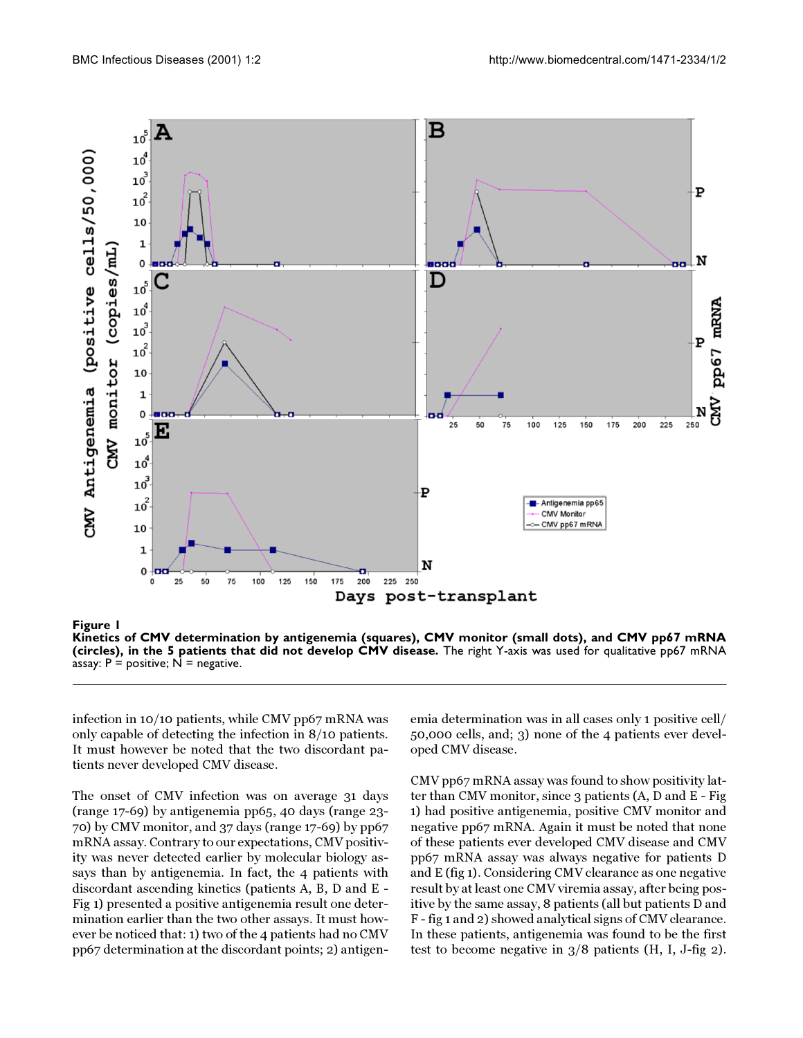

<span id="page-3-0"></span>**Kinetics of CMV determination by antigenemia (squares), CMV monitor (small dots), and CMV pp67 mRNA (circles), in the 5 patients that did not develop CMV disease.** The right Y-axis was used for qualitative pp67 mRNA assay:  $P =$  positive;  $N =$  negative.

infection in 10/10 patients, while CMV pp67 mRNA was only capable of detecting the infection in 8/10 patients. It must however be noted that the two discordant patients never developed CMV disease.

The onset of CMV infection was on average 31 days (range 17-69) by antigenemia pp65, 40 days (range 23- 70) by CMV monitor, and 37 days (range 17-69) by pp67 mRNA assay. Contrary to our expectations, CMV positivity was never detected earlier by molecular biology assays than by antigenemia. In fact, the 4 patients with discordant ascending kinetics (patients A, B, D and E - Fig [1](#page-3-0)) presented a positive antigenemia result one determination earlier than the two other assays. It must however be noticed that: 1) two of the 4 patients had no CMV pp67 determination at the discordant points; 2) antigen-

emia determination was in all cases only 1 positive cell/ 50,000 cells, and; 3) none of the 4 patients ever developed CMV disease.

CMV pp67 mRNA assay was found to show positivity latter than CMV monitor, since 3 patients (A, D and E - Fig [1](#page-3-0)) had positive antigenemia, positive CMV monitor and negative pp67 mRNA. Again it must be noted that none of these patients ever developed CMV disease and CMV pp67 mRNA assay was always negative for patients D and E (fig [1](#page-3-0)). Considering CMV clearance as one negative result by at least one CMV viremia assay, after being positive by the same assay, 8 patients (all but patients D and F - fig [1](#page-3-0) and [2](#page-4-0)) showed analytical signs of CMV clearance. In these patients, antigenemia was found to be the first test to become negative in 3/8 patients (H, I, J-fig [2\)](#page-4-0).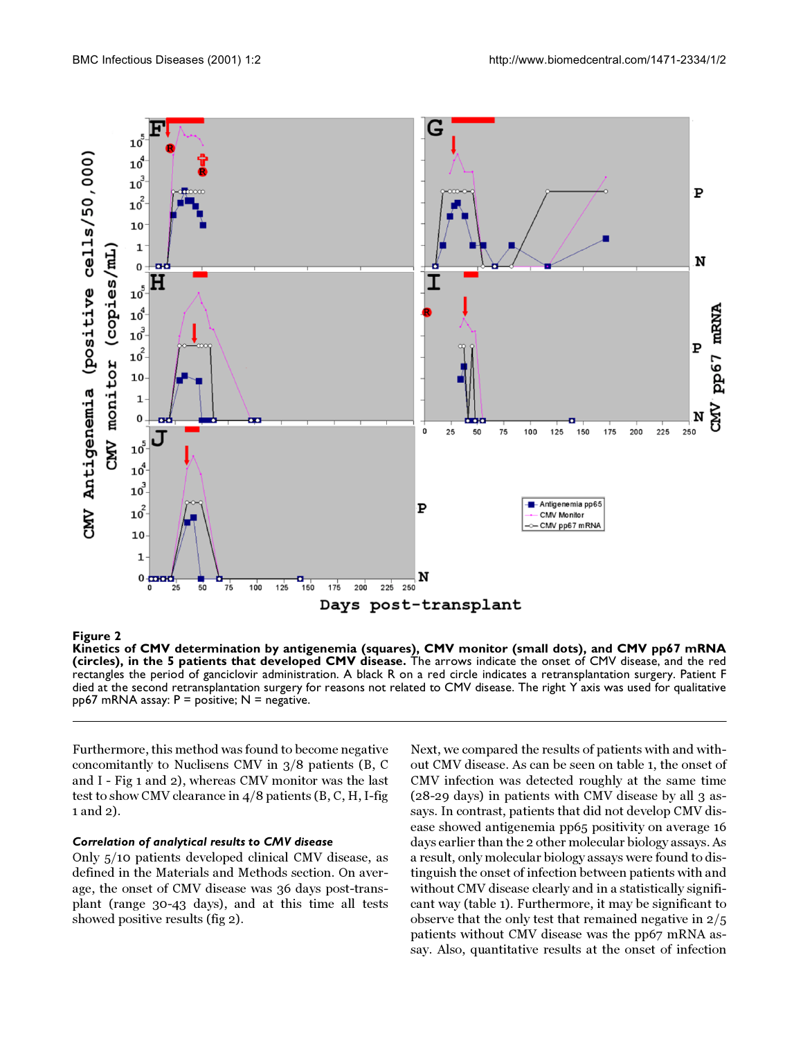

## <span id="page-4-0"></span>**Figure 2**

**Kinetics of CMV determination by antigenemia (squares), CMV monitor (small dots), and CMV pp67 mRNA (circles), in the 5 patients that developed CMV disease.** The arrows indicate the onset of CMV disease, and the red rectangles the period of ganciclovir administration. A black R on a red circle indicates a retransplantation surgery. Patient F died at the second retransplantation surgery for reasons not related to CMV disease. The right Y axis was used for qualitative  $pp67$  mRNA assay:  $P =$  positive; N = negative.

Furthermore, this method was found to become negative concomitantly to Nuclisens CMV in 3/8 patients (B, C and I - Fig [1](#page-3-0) and [2](#page-4-0)), whereas CMV monitor was the last test to show CMV clearance in 4/8 patients (B, C, H, I-fig [1](#page-3-0) and [2\)](#page-4-0).

## *Correlation of analytical results to CMV disease*

Only 5/10 patients developed clinical CMV disease, as defined in the Materials and Methods section. On average, the onset of CMV disease was 36 days post-transplant (range 30-43 days), and at this time all tests showed positive results (fig [2\)](#page-4-0).

Next, we compared the results of patients with and without CMV disease. As can be seen on table [1](#page-5-0), the onset of CMV infection was detected roughly at the same time (28-29 days) in patients with CMV disease by all 3 assays. In contrast, patients that did not develop CMV disease showed antigenemia pp65 positivity on average 16 days earlier than the 2 other molecular biology assays. As a result, only molecular biology assays were found to distinguish the onset of infection between patients with and without CMV disease clearly and in a statistically significant way (table [1](#page-5-0)). Furthermore, it may be significant to observe that the only test that remained negative in 2/5 patients without CMV disease was the pp67 mRNA assay. Also, quantitative results at the onset of infection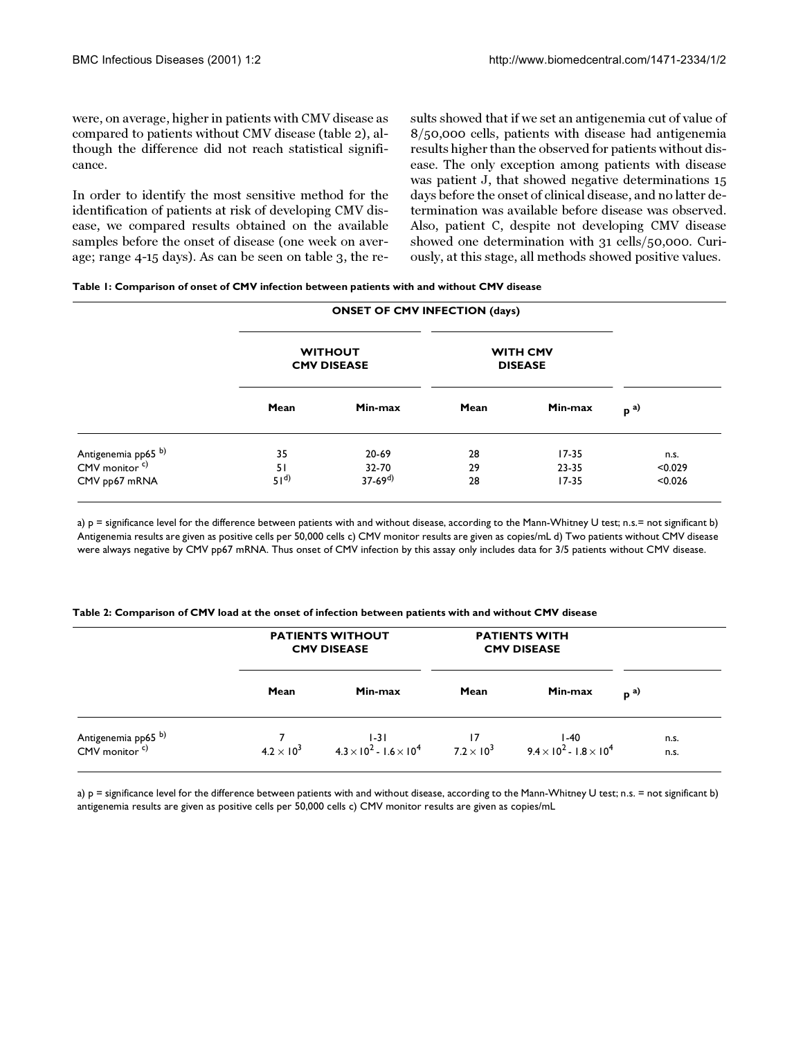were, on average, higher in patients with CMV disease as compared to patients without CMV disease (table [2](#page-5-0)), although the difference did not reach statistical significance.

<span id="page-5-0"></span>In order to identify the most sensitive method for the identification of patients at risk of developing CMV disease, we compared results obtained on the available samples before the onset of disease (one week on average; range 4-15 days). As can be seen on table [3](#page-5-0), the results showed that if we set an antigenemia cut of value of 8/50,000 cells, patients with disease had antigenemia results higher than the observed for patients without disease. The only exception among patients with disease was patient J, that showed negative determinations 15 days before the onset of clinical disease, and no latter determination was available before disease was observed. Also, patient C, despite not developing CMV disease showed one determination with 31 cells/50,000. Curiously, at this stage, all methods showed positive values.

| Table 1: Comparison of onset of CMV infection between patients with and without CMV disease |  |
|---------------------------------------------------------------------------------------------|--|
|---------------------------------------------------------------------------------------------|--|

|                                                             | <b>ONSET OF CMV INFECTION (days)</b> |                          |                                   |                    |                    |
|-------------------------------------------------------------|--------------------------------------|--------------------------|-----------------------------------|--------------------|--------------------|
|                                                             | <b>WITHOUT</b><br><b>CMV DISEASE</b> |                          | <b>WITH CMV</b><br><b>DISEASE</b> |                    |                    |
|                                                             | Mean                                 | Min-max                  | Mean                              | Min-max            | $p^{a)}$           |
| Antigenemia pp65 <sup>b)</sup><br>CMV monitor <sup>c)</sup> | 35                                   | 20-69                    | 28                                | $17 - 35$          | n.s.               |
| CMV pp67 mRNA                                               | 51<br>51 <sup>d</sup>                | $32 - 70$<br>$37-69^{d}$ | 29<br>28                          | 23-35<br>$17 - 35$ | < 0.029<br>< 0.026 |

a) p = significance level for the difference between patients with and without disease, according to the Mann-Whitney U test; n.s.= not significant b) Antigenemia results are given as positive cells per 50,000 cells c) CMV monitor results are given as copies/mL d) Two patients without CMV disease were always negative by CMV pp67 mRNA. Thus onset of CMV infection by this assay only includes data for 3/5 patients without CMV disease.

**Table 2: Comparison of CMV load at the onset of infection between patients with and without CMV disease**

|                                                             | <b>PATIENTS WITHOUT</b><br><b>CMV DISEASE</b> |                                                         | <b>PATIENTS WITH</b><br><b>CMV DISEASE</b> |                                                                       |              |
|-------------------------------------------------------------|-----------------------------------------------|---------------------------------------------------------|--------------------------------------------|-----------------------------------------------------------------------|--------------|
|                                                             | Mean                                          | Min-max                                                 | Mean                                       | Min-max                                                               | $p^{a}$      |
| Antigenemia pp65 <sup>b)</sup><br>CMV monitor <sup>c)</sup> | $4.2 \times 10^{3}$                           | $1-31$<br>4.3 × 10 <sup>2</sup> - 1.6 × 10 <sup>4</sup> | $7.2 \times 10^{3}$                        | $1-40$<br>9.4 $\times$ 10 <sup>2</sup> - 1.8 $\times$ 10 <sup>4</sup> | n.s.<br>n.s. |

a) p = significance level for the difference between patients with and without disease, according to the Mann-Whitney U test; n.s. = not significant b) antigenemia results are given as positive cells per 50,000 cells c) CMV monitor results are given as copies/mL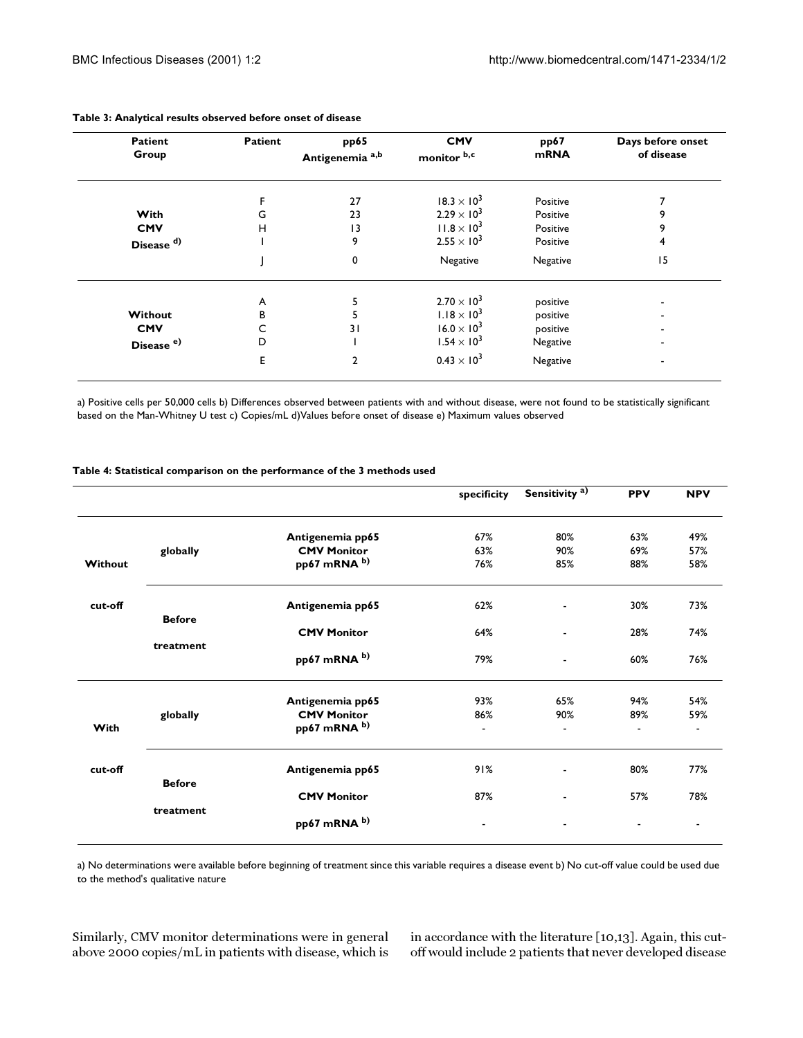| <b>Patient</b><br>Group | <b>Patient</b> | pp65<br>Antigenemia <sup>a,b</sup> | <b>CMV</b><br>monitor b,c | pp67<br><b>mRNA</b> | Days before onset<br>of disease |
|-------------------------|----------------|------------------------------------|---------------------------|---------------------|---------------------------------|
|                         |                | 27                                 | $18.3 \times 10^{3}$      | Positive            |                                 |
| With                    | G              | 23                                 | $2.29 \times 10^{3}$      | Positive            | 9                               |
| <b>CMV</b>              | н              | 3                                  | $11.8 \times 10^{3}$      | Positive            | 9                               |
| Disease <sup>d)</sup>   |                | 9                                  | $2.55 \times 10^{3}$      | Positive            | 4                               |
|                         |                | 0                                  | Negative                  | Negative            | 15                              |
|                         | A              |                                    | $2.70 \times 10^{3}$      | positive            |                                 |
| Without                 | в              |                                    | $1.18 \times 10^{3}$      | positive            |                                 |
| <b>CMV</b>              |                | 31                                 | $16.0 \times 10^{3}$      | positive            |                                 |
| Disease <sup>e)</sup>   | D              |                                    | $1.54 \times 10^{3}$      | Negative            |                                 |
|                         | E              | 2                                  | $0.43 \times 10^{3}$      | Negative            |                                 |

#### **Table 3: Analytical results observed before onset of disease**

a) Positive cells per 50,000 cells b) Differences observed between patients with and without disease, were not found to be statistically significant based on the Man-Whitney U test c) Copies/mL d)Values before onset of disease e) Maximum values observed

|         |               |                                    | specificity              | Sensitivity <sup>a)</sup>       | <b>PPV</b> | <b>NPV</b>                      |
|---------|---------------|------------------------------------|--------------------------|---------------------------------|------------|---------------------------------|
|         |               | Antigenemia pp65                   | 67%                      | 80%                             | 63%        | 49%                             |
|         | globally      | <b>CMV Monitor</b>                 | 63%                      | 90%                             | 69%        | 57%                             |
| Without |               | pp67 mRNA b)                       | 76%                      | 85%                             | 88%        | 58%                             |
| cut-off |               | Antigenemia pp65                   | 62%                      |                                 | 30%        | 73%                             |
|         | <b>Before</b> | <b>CMV Monitor</b>                 | 64%                      | ٠                               | 28%        | 74%                             |
|         | treatment     | pp67 mRNA b)                       | 79%                      |                                 | 60%        | 76%                             |
|         |               | Antigenemia pp65                   | 93%                      | 65%                             | 94%        | 54%                             |
| With    | globally      | <b>CMV Monitor</b><br>pp67 mRNA b) | 86%<br>$\blacksquare$    | 90%<br>$\overline{\phantom{a}}$ | 89%        | 59%<br>$\overline{\phantom{a}}$ |
| cut-off |               | Antigenemia pp65                   | 91%                      |                                 | 80%        | 77%                             |
|         | <b>Before</b> | <b>CMV Monitor</b>                 | 87%                      | ۰                               | 57%        | 78%                             |
|         | treatment     | pp67 mRNA b)                       | $\overline{\phantom{a}}$ |                                 |            | $\overline{\phantom{a}}$        |

#### **Table 4: Statistical comparison on the performance of the 3 methods used**

a) No determinations were available before beginning of treatment since this variable requires a disease event b) No cut-off value could be used due to the method's qualitative nature

Similarly, CMV monitor determinations were in general above 2000 copies/mL in patients with disease, which is

in accordance with the literature [[10](#page-8-9),[13](#page-8-12)]. Again, this cutoff would include 2 patients that never developed disease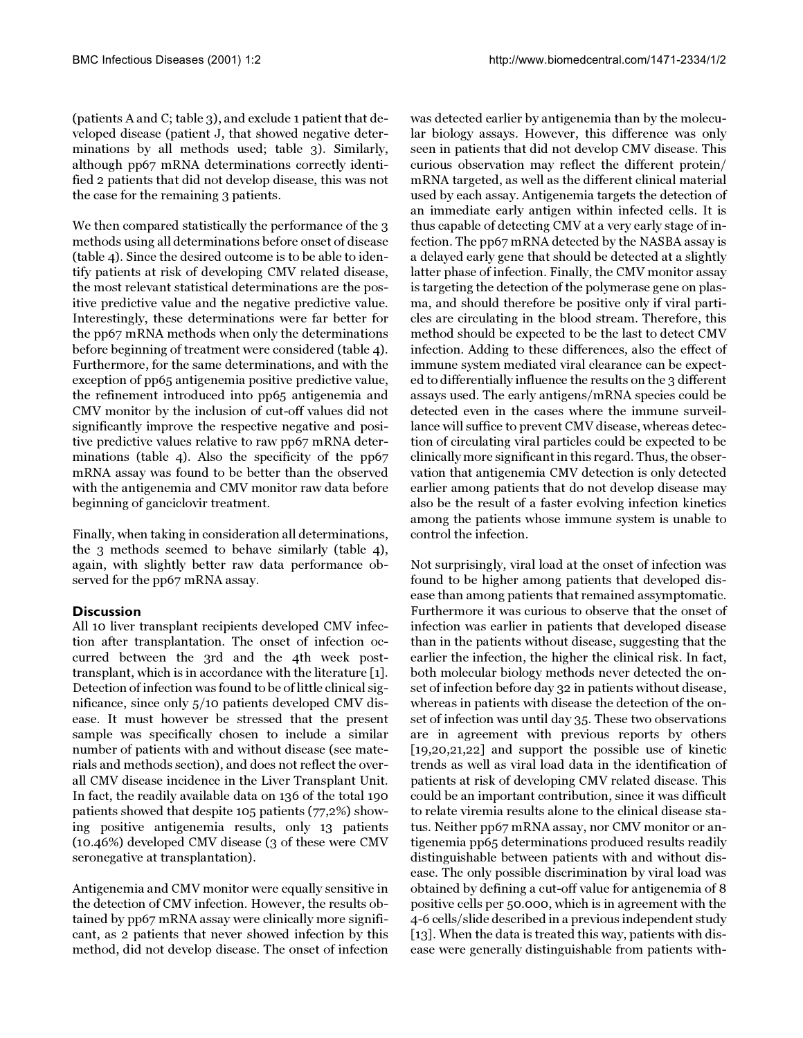(patients A and C; table [3](#page-5-0)), and exclude 1 patient that developed disease (patient J, that showed negative determinations by all methods used; table [3](#page-5-0)). Similarly, although pp67 mRNA determinations correctly identified 2 patients that did not develop disease, this was not the case for the remaining 3 patients.

We then compared statistically the performance of the 3 methods using all determinations before onset of disease (table [4\)](#page-5-0). Since the desired outcome is to be able to identify patients at risk of developing CMV related disease, the most relevant statistical determinations are the positive predictive value and the negative predictive value. Interestingly, these determinations were far better for the pp67 mRNA methods when only the determinations before beginning of treatment were considered (table [4\)](#page-5-0). Furthermore, for the same determinations, and with the exception of pp65 antigenemia positive predictive value, the refinement introduced into pp65 antigenemia and CMV monitor by the inclusion of cut-off values did not significantly improve the respective negative and positive predictive values relative to raw pp67 mRNA determinations (table [4](#page-5-0)). Also the specificity of the pp67 mRNA assay was found to be better than the observed with the antigenemia and CMV monitor raw data before beginning of ganciclovir treatment.

Finally, when taking in consideration all determinations, the 3 methods seemed to behave similarly (table [4\)](#page-5-0), again, with slightly better raw data performance observed for the pp67 mRNA assay.

## **Discussion**

All 10 liver transplant recipients developed CMV infection after transplantation. The onset of infection occurred between the 3rd and the 4th week posttransplant, which is in accordance with the literature [[1\]](#page-8-0). Detection of infection was found to be of little clinical significance, since only 5/10 patients developed CMV disease. It must however be stressed that the present sample was specifically chosen to include a similar number of patients with and without disease (see materials and methods section), and does not reflect the overall CMV disease incidence in the Liver Transplant Unit. In fact, the readily available data on 136 of the total 190 patients showed that despite 105 patients (77,2%) showing positive antigenemia results, only 13 patients (10.46%) developed CMV disease (3 of these were CMV seronegative at transplantation).

Antigenemia and CMV monitor were equally sensitive in the detection of CMV infection. However, the results obtained by pp67 mRNA assay were clinically more significant, as 2 patients that never showed infection by this method, did not develop disease. The onset of infection

was detected earlier by antigenemia than by the molecular biology assays. However, this difference was only seen in patients that did not develop CMV disease. This curious observation may reflect the different protein/ mRNA targeted, as well as the different clinical material used by each assay. Antigenemia targets the detection of an immediate early antigen within infected cells. It is thus capable of detecting CMV at a very early stage of infection. The pp67 mRNA detected by the NASBA assay is a delayed early gene that should be detected at a slightly latter phase of infection. Finally, the CMV monitor assay is targeting the detection of the polymerase gene on plasma, and should therefore be positive only if viral particles are circulating in the blood stream. Therefore, this method should be expected to be the last to detect CMV infection. Adding to these differences, also the effect of immune system mediated viral clearance can be expected to differentially influence the results on the 3 different assays used. The early antigens/mRNA species could be detected even in the cases where the immune surveillance will suffice to prevent CMV disease, whereas detection of circulating viral particles could be expected to be clinically more significant in this regard. Thus, the observation that antigenemia CMV detection is only detected earlier among patients that do not develop disease may also be the result of a faster evolving infection kinetics among the patients whose immune system is unable to control the infection.

Not surprisingly, viral load at the onset of infection was found to be higher among patients that developed disease than among patients that remained assymptomatic. Furthermore it was curious to observe that the onset of infection was earlier in patients that developed disease than in the patients without disease, suggesting that the earlier the infection, the higher the clinical risk. In fact, both molecular biology methods never detected the onset of infection before day 32 in patients without disease, whereas in patients with disease the detection of the onset of infection was until day 35. These two observations are in agreement with previous reports by others [[19](#page-8-18)[,20,](#page-9-0)[21](#page-9-1)[,22](#page-9-2)] and support the possible use of kinetic trends as well as viral load data in the identification of patients at risk of developing CMV related disease. This could be an important contribution, since it was difficult to relate viremia results alone to the clinical disease status. Neither pp67 mRNA assay, nor CMV monitor or antigenemia pp65 determinations produced results readily distinguishable between patients with and without disease. The only possible discrimination by viral load was obtained by defining a cut-off value for antigenemia of 8 positive cells per 50.000, which is in agreement with the 4-6 cells/slide described in a previous independent study [[13](#page-8-12)]. When the data is treated this way, patients with disease were generally distinguishable from patients with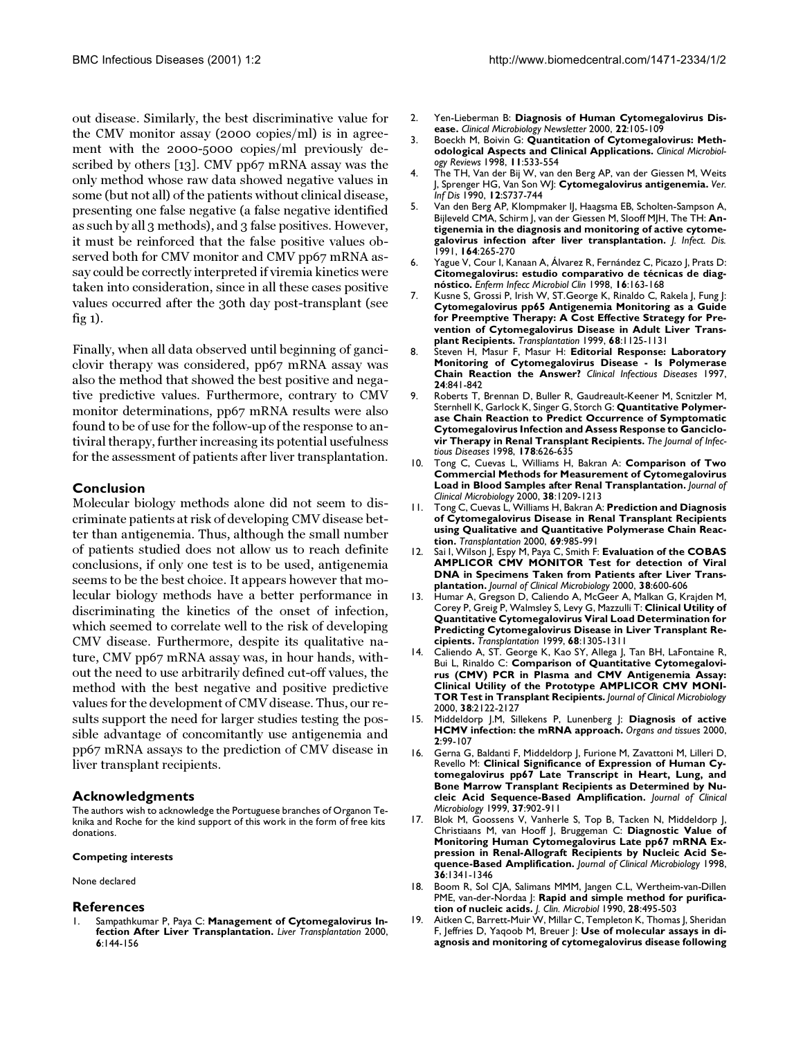out disease. Similarly, the best discriminative value for the CMV monitor assay (2000 copies/ml) is in agreement with the 2000-5000 copies/ml previously described by others [\[13](#page-8-12)]. CMV pp67 mRNA assay was the only method whose raw data showed negative values in some (but not all) of the patients without clinical disease, presenting one false negative (a false negative identified as such by all 3 methods), and 3 false positives. However, it must be reinforced that the false positive values observed both for CMV monitor and CMV pp67 mRNA assay could be correctly interpreted if viremia kinetics were taken into consideration, since in all these cases positive values occurred after the 30th day post-transplant (see fig [1\)](#page-3-0).

Finally, when all data observed until beginning of ganciclovir therapy was considered, pp67 mRNA assay was also the method that showed the best positive and negative predictive values. Furthermore, contrary to CMV monitor determinations, pp67 mRNA results were also found to be of use for the follow-up of the response to antiviral therapy, further increasing its potential usefulness for the assessment of patients after liver transplantation.

## **Conclusion**

Molecular biology methods alone did not seem to discriminate patients at risk of developing CMV disease better than antigenemia. Thus, although the small number of patients studied does not allow us to reach definite conclusions, if only one test is to be used, antigenemia seems to be the best choice. It appears however that molecular biology methods have a better performance in discriminating the kinetics of the onset of infection, which seemed to correlate well to the risk of developing CMV disease. Furthermore, despite its qualitative nature, CMV pp67 mRNA assay was, in hour hands, without the need to use arbitrarily defined cut-off values, the method with the best negative and positive predictive values for the development of CMV disease. Thus, our results support the need for larger studies testing the possible advantage of concomitantly use antigenemia and pp67 mRNA assays to the prediction of CMV disease in liver transplant recipients.

#### **Acknowledgments**

The authors wish to acknowledge the Portuguese branches of Organon Teknika and Roche for the kind support of this work in the form of free kits donations.

#### **Competing interests**

None declared

#### **References**

<span id="page-8-0"></span>Sampathkumar P, Paya C: Management of Cytomegalovirus In**fection After Liver Transplantation.** *Liver Transplantation* 2000, **6**:144-156

- <span id="page-8-1"></span>2. Yen-Lieberman B: **Diagnosis of Human Cytomegalovirus Disease.** *Clinical Microbiology Newsletter* 2000, **22**:105-109
- <span id="page-8-2"></span>3. [Boeckh M, Boivin G:](http://www.ncbi.nlm.nih.gov/entrez/query.fcgi?cmd=Retrieve&db=PubMed&dopt=Abstract&list_uids=9665982) **Quantitation of Cytomegalovirus: Methodological Aspects and Clinical Applications.** *Clinical Microbiology Reviews* 1998, **11**:533-554
- <span id="page-8-3"></span>4. The TH, Van der Bij W, van den Berg AP, van der Giessen M, Weits J, Sprenger HG, Van Son WJ: **Cytomegalovirus antigenemia.** *Ver. Inf Dis* 1990, **12**:S737-744
- <span id="page-8-4"></span>5. [Van den Berg AP, Klompmaker IJ, Haagsma EB, Scholten-Sampson A,](http://www.ncbi.nlm.nih.gov/entrez/query.fcgi?cmd=Retrieve&db=PubMed&dopt=Abstract&list_uids=1649873) [Bijleveld CMA, Schirm J, van der Giessen M, Slooff MJH, The TH:](http://www.ncbi.nlm.nih.gov/entrez/query.fcgi?cmd=Retrieve&db=PubMed&dopt=Abstract&list_uids=1649873) **Antigenemia in the diagnosis and monitoring of active cytomegalovirus infection after liver transplantation.** *J. Infect. Dis.* 1991, **164**:265-270
- <span id="page-8-5"></span>6. [Yague V, Cour I, Kanaan A, Álvarez R, Fernández C, Picazo J, Prats D:](http://www.ncbi.nlm.nih.gov/entrez/query.fcgi?cmd=Retrieve&db=PubMed&dopt=Abstract&list_uids=9646559) **Citomegalovirus: estudio comparativo de técnicas de diagnóstico.** *Enferm Infecc Microbiol Clin* 1998, **16**:163-168
- <span id="page-8-6"></span>7. [Kusne S, Grossi P, Irish W, ST.George K, Rinaldo C, Rakela J, Fung J:](http://www.ncbi.nlm.nih.gov/entrez/query.fcgi?cmd=Retrieve&db=PubMed&dopt=Abstract&list_uids=10551640) **Cytomegalovirus pp65 Antigenemia Monitoring as a Guide for Preemptive Therapy: A Cost Effective Strategy for Prevention of Cytomegalovirus Disease in Adult Liver Transplant Recipients.** *Transplantation* 1999, **68**:1125-1131
- <span id="page-8-7"></span>8. [Steven H, Masur F, Masur H:](http://www.ncbi.nlm.nih.gov/entrez/query.fcgi?cmd=Retrieve&db=PubMed&dopt=Abstract&list_uids=9142779) **Editorial Response: Laboratory Monitoring of Cytomegalovirus Disease - Is Polymerase Chain Reaction the Answer?** *Clinical Infectious Diseases* 1997, **24**:841-842
- <span id="page-8-8"></span>9. [Roberts T, Brennan D, Buller R, Gaudreault-Keener M, Scnitzler M,](http://www.ncbi.nlm.nih.gov/entrez/query.fcgi?cmd=Retrieve&db=PubMed&dopt=Abstract&list_uids=9728529) [Sternhell K, Garlock K, Singer G, Storch G:](http://www.ncbi.nlm.nih.gov/entrez/query.fcgi?cmd=Retrieve&db=PubMed&dopt=Abstract&list_uids=9728529) **Quantitative Polymerase Chain Reaction to Predict Occurrence of Symptomatic Cytomegalovirus Infection and Assess Response to Ganciclovir Therapy in Renal Transplant Recipients.** *The Journal of Infectious Diseases* 1998, **178**:626-635
- <span id="page-8-9"></span>10. [Tong C, Cuevas L, Williams H, Bakran A:](http://www.ncbi.nlm.nih.gov/entrez/query.fcgi?cmd=Retrieve&db=PubMed&dopt=Abstract&list_uids=10699024) **Comparison of Two Commercial Methods for Measurement of Cytomegalovirus Load in Blood Samples after Renal Transplantation.** *Journal of Clinical Microbiology* 2000, **38**:1209-1213
- <span id="page-8-10"></span>11. [Tong C, Cuevas L, Williams H, Bakran A:](http://www.ncbi.nlm.nih.gov/entrez/query.fcgi?cmd=Retrieve&db=PubMed&dopt=Abstract&list_uids=10755562) **Prediction and Diagnosis of Cytomegalovirus Disease in Renal Transplant Recipients using Qualitative and Quantitative Polymerase Chain Reaction.** *Transplantation* 2000, **69**:985-991
- <span id="page-8-11"></span>12. [Sai I, Wilson J, Espy M, Paya C, Smith F:](http://www.ncbi.nlm.nih.gov/entrez/query.fcgi?cmd=Retrieve&db=PubMed&dopt=Abstract&list_uids=10655353) **Evaluation of the COBAS AMPLICOR CMV MONITOR Test for detection of Viral DNA in Specimens Taken from Patients after Liver Transplantation.** *Journal of Clinical Microbiology* 2000, **38**:600-606
- <span id="page-8-12"></span>13. [Humar A, Gregson D, Caliendo A, McGeer A, Malkan G, Krajden M,](http://www.ncbi.nlm.nih.gov/entrez/query.fcgi?cmd=Retrieve&db=PubMed&dopt=Abstract&list_uids=10573068) [Corey P, Greig P, Walmsley S, Levy G, Mazzulli T:](http://www.ncbi.nlm.nih.gov/entrez/query.fcgi?cmd=Retrieve&db=PubMed&dopt=Abstract&list_uids=10573068) **Clinical Utility of Quantitative Cytomegalovirus Viral Load Determination for Predicting Cytomegalovirus Disease in Liver Transplant Recipients.** *Transplantation* 1999, **68**:1305-1311
- <span id="page-8-13"></span>14. [Caliendo A, ST. George K, Kao SY, Allega J, Tan BH, LaFontaine R,](http://www.ncbi.nlm.nih.gov/entrez/query.fcgi?cmd=Retrieve&db=PubMed&dopt=Abstract&list_uids=10834964) [Bui L, Rinaldo C:](http://www.ncbi.nlm.nih.gov/entrez/query.fcgi?cmd=Retrieve&db=PubMed&dopt=Abstract&list_uids=10834964) **Comparison of Quantitative Cytomegalovirus (CMV) PCR in Plasma and CMV Antigenemia Assay: Clinical Utility of the Prototype AMPLICOR CMV MONI-TOR Test in Transplant Recipients.** *Journal of Clinical Microbiology* 2000, **38**:2122-2127
- <span id="page-8-14"></span>15. Middeldorp J.M, Sillekens P, Lunenberg J: **Diagnosis of active HCMV infection: the mRNA approach.** *Organs and tissues* 2000, **2**:99-107
- <span id="page-8-15"></span>16. [Gerna G, Baldanti F, Middeldorp J, Furione M, Zavattoni M, Lilleri D,](http://www.ncbi.nlm.nih.gov/entrez/query.fcgi?cmd=Retrieve&db=PubMed&dopt=Abstract&list_uids=10074499) [Revello M:](http://www.ncbi.nlm.nih.gov/entrez/query.fcgi?cmd=Retrieve&db=PubMed&dopt=Abstract&list_uids=10074499) **Clinical Significance of Expression of Human Cytomegalovirus pp67 Late Transcript in Heart, Lung, and Bone Marrow Transplant Recipients as Determined by Nucleic Acid Sequence-Based Amplification.** *Journal of Clinical Microbiology* 1999, **37**:902-911
- <span id="page-8-16"></span>17. [Blok M, Goossens V, Vanherle S, Top B, Tacken N, Middeldorp J,](http://www.ncbi.nlm.nih.gov/entrez/query.fcgi?cmd=Retrieve&db=PubMed&dopt=Abstract&list_uids=9574702) [Christiaans M, van Hooff J, Bruggeman C:](http://www.ncbi.nlm.nih.gov/entrez/query.fcgi?cmd=Retrieve&db=PubMed&dopt=Abstract&list_uids=9574702) **Diagnostic Value of Monitoring Human Cytomegalovirus Late pp67 mRNA Expression in Renal-Allograft Recipients by Nucleic Acid Sequence-Based Amplification.** *Journal of Clinical Microbiology* 1998, **36**:1341-1346
- <span id="page-8-17"></span>18. [Boom R, Sol CJA, Salimans MMM, Jangen C.L, Wertheim-van-Dillen](http://www.ncbi.nlm.nih.gov/entrez/query.fcgi?cmd=Retrieve&db=PubMed&dopt=Abstract&list_uids=1691208) [PME, van-der-Nordaa J:](http://www.ncbi.nlm.nih.gov/entrez/query.fcgi?cmd=Retrieve&db=PubMed&dopt=Abstract&list_uids=1691208) **Rapid and simple method for purification of nucleic acids.** *J. Clin. Microbiol* 1990, **28**:495-503
- <span id="page-8-18"></span>Aitken C, Barrett-Muir W, Millar C, Templeton K, Thomas J, Sheridan [F, Jeffries D, Yaqoob M, Breuer J:](http://www.ncbi.nlm.nih.gov/entrez/query.fcgi?cmd=Retrieve&db=PubMed&dopt=Abstract&list_uids=10449456) **Use of molecular assays in diagnosis and monitoring of cytomegalovirus disease following**